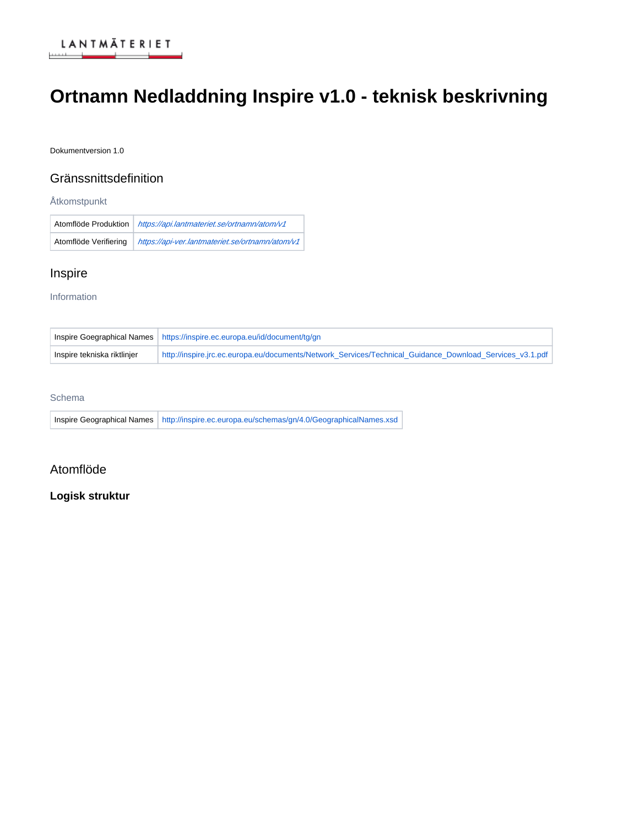

# **Ortnamn Nedladdning Inspire v1.0 - teknisk beskrivning**

Dokumentversion 1.0

## Gränssnittsdefinition

**Åtkomstpunkt** 

Atomflöde Produktion <https://api.lantmateriet.se/ortnamn/atom/v1> Atomflöde Verifiering | <https://api-ver.lantmateriet.se/ortnamn/atom/v1>

## Inspire

Information

|                             | Inspire Goegraphical Names   https://inspire.ec.europa.eu/id/document/tg/gn                              |
|-----------------------------|----------------------------------------------------------------------------------------------------------|
| Inspire tekniska riktlinjer | http://inspire.jrc.ec.europa.eu/documents/Network Services/Technical Guidance Download Services v3.1.pdf |

### Schema

Inspire Geographical Names <http://inspire.ec.europa.eu/schemas/gn/4.0/GeographicalNames.xsd>

## Atomflöde

## **Logisk struktur**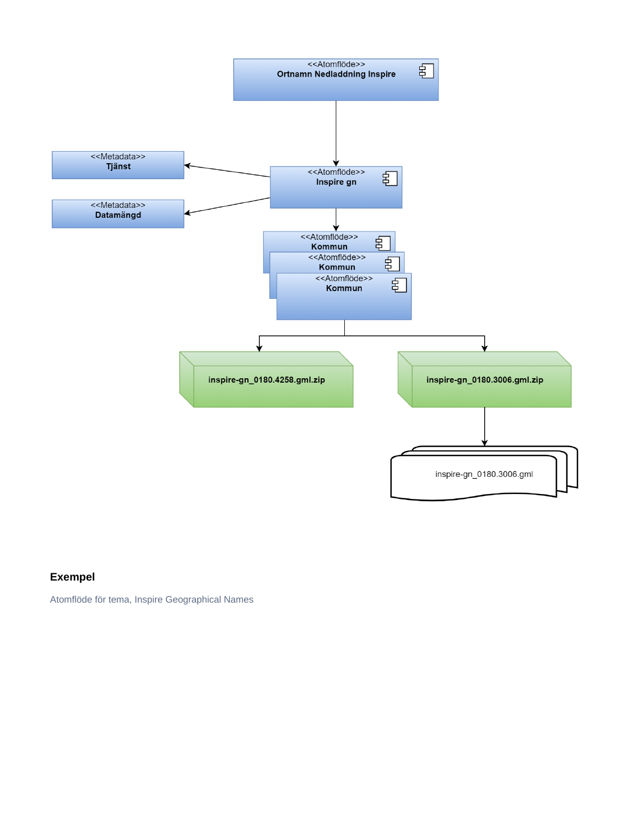

## **Exempel**

Atomflöde för tema, Inspire Geographical Names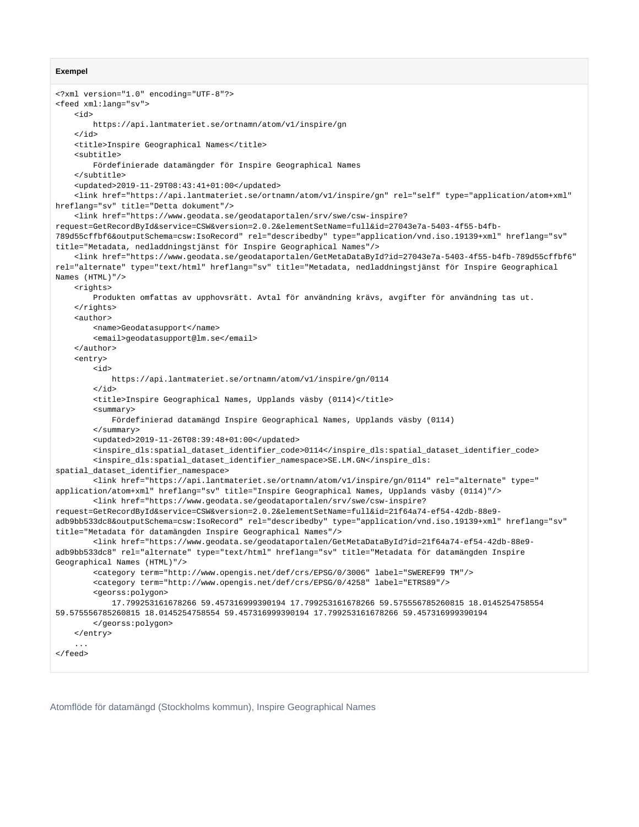#### **Exempel**

```
<?xml version="1.0" encoding="UTF-8"?>
<feed xml:lang="sv">
     <id>
         https://api.lantmateriet.se/ortnamn/atom/v1/inspire/gn
     </id>
     <title>Inspire Geographical Names</title>
     <subtitle>
        Fördefinierade datamängder för Inspire Geographical Names
     </subtitle>
     <updated>2019-11-29T08:43:41+01:00</updated>
     <link href="https://api.lantmateriet.se/ortnamn/atom/v1/inspire/gn" rel="self" type="application/atom+xml" 
hreflang="sv" title="Detta dokument"/>
     <link href="https://www.geodata.se/geodataportalen/srv/swe/csw-inspire?
request=GetRecordById&service=CSW&version=2.0.2&elementSetName=full&id=27043e7a-5403-4f55-b4fb-
789d55cffbf6&outputSchema=csw:IsoRecord" rel="describedby" type="application/vnd.iso.19139+xml" hreflang="sv" 
title="Metadata, nedladdningstjänst för Inspire Geographical Names"/>
     <link href="https://www.geodata.se/geodataportalen/GetMetaDataById?id=27043e7a-5403-4f55-b4fb-789d55cffbf6" 
rel="alternate" type="text/html" hreflang="sv" title="Metadata, nedladdningstjänst för Inspire Geographical 
Names (HTML)"/>
     <rights>
         Produkten omfattas av upphovsrätt. Avtal för användning krävs, avgifter för användning tas ut.
     </rights>
     <author>
         <name>Geodatasupport</name>
         <email>geodatasupport@lm.se</email>
     </author>
     <entry>
         <id>
             https://api.lantmateriet.se/ortnamn/atom/v1/inspire/gn/0114
         </id>
         <title>Inspire Geographical Names, Upplands väsby (0114)</title>
         <summary>
             Fördefinierad datamängd Inspire Geographical Names, Upplands väsby (0114)
         </summary>
         <updated>2019-11-26T08:39:48+01:00</updated>
         <inspire_dls:spatial_dataset_identifier_code>0114</inspire_dls:spatial_dataset_identifier_code>
         <inspire_dls:spatial_dataset_identifier_namespace>SE.LM.GN</inspire_dls:
spatial_dataset_identifier_namespace>
         <link href="https://api.lantmateriet.se/ortnamn/atom/v1/inspire/gn/0114" rel="alternate" type="
application/atom+xml" hreflang="sv" title="Inspire Geographical Names, Upplands väsby (0114)"/>
         <link href="https://www.geodata.se/geodataportalen/srv/swe/csw-inspire?
request=GetRecordById&service=CSW&version=2.0.2&elementSetName=full&id=21f64a74-ef54-42db-88e9-
adb9bb533dc8&outputSchema=csw:IsoRecord" rel="describedby" type="application/vnd.iso.19139+xml" hreflang="sv" 
title="Metadata för datamängden Inspire Geographical Names"/>
         <link href="https://www.geodata.se/geodataportalen/GetMetaDataById?id=21f64a74-ef54-42db-88e9-
adb9bb533dc8" rel="alternate" type="text/html" hreflang="sv" title="Metadata för datamängden Inspire 
Geographical Names (HTML)"/>
         <category term="http://www.opengis.net/def/crs/EPSG/0/3006" label="SWEREF99 TM"/>
         <category term="http://www.opengis.net/def/crs/EPSG/0/4258" label="ETRS89"/>
         <georss:polygon>
             17.799253161678266 59.457316999390194 17.799253161678266 59.575556785260815 18.0145254758554 
59.575556785260815 18.0145254758554 59.457316999390194 17.799253161678266 59.457316999390194
         </georss:polygon>
     </entry>
     ...
</feed>
```
Atomflöde för datamängd (Stockholms kommun), Inspire Geographical Names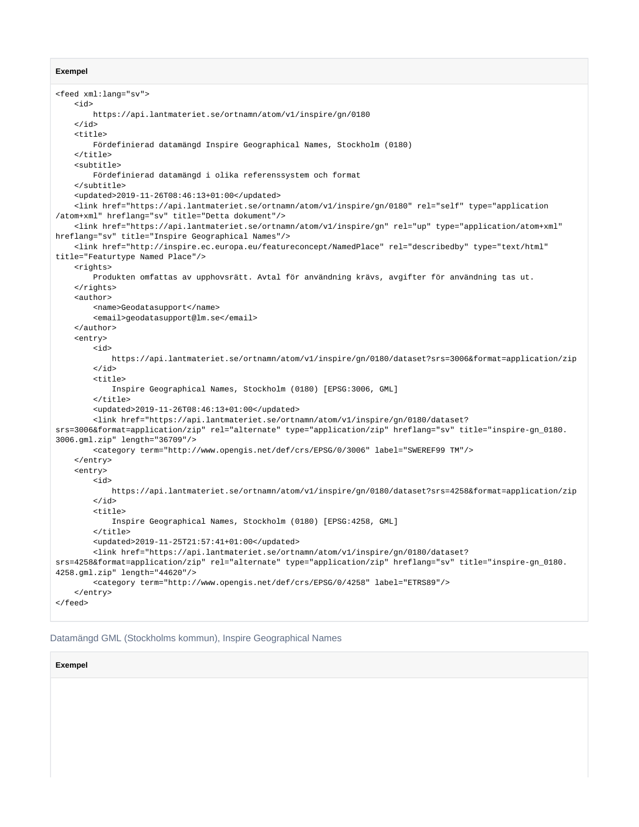#### **Exempel**

```
<feed xml:lang="sv">
     <id>
         https://api.lantmateriet.se/ortnamn/atom/v1/inspire/gn/0180
     </id>
     <title>
         Fördefinierad datamängd Inspire Geographical Names, Stockholm (0180)
     </title>
     <subtitle>
        Fördefinierad datamängd i olika referenssystem och format
     </subtitle>
     <updated>2019-11-26T08:46:13+01:00</updated>
     <link href="https://api.lantmateriet.se/ortnamn/atom/v1/inspire/gn/0180" rel="self" type="application
/atom+xml" hreflang="sv" title="Detta dokument"/>
     <link href="https://api.lantmateriet.se/ortnamn/atom/v1/inspire/gn" rel="up" type="application/atom+xml" 
hreflang="sv" title="Inspire Geographical Names"/>
     <link href="http://inspire.ec.europa.eu/featureconcept/NamedPlace" rel="describedby" type="text/html" 
title="Featurtype Named Place"/>
     <rights>
         Produkten omfattas av upphovsrätt. Avtal för användning krävs, avgifter för användning tas ut.
     </rights>
     <author>
         <name>Geodatasupport</name>
         <email>geodatasupport@lm.se</email>
     </author>
     <entry>
         <id>
             https://api.lantmateriet.se/ortnamn/atom/v1/inspire/gn/0180/dataset?srs=3006&format=application/zip
         </id>
        <sub>right</sub></sub>
             Inspire Geographical Names, Stockholm (0180) [EPSG:3006, GML]
         </title>
         <updated>2019-11-26T08:46:13+01:00</updated>
         <link href="https://api.lantmateriet.se/ortnamn/atom/v1/inspire/gn/0180/dataset?
srs=3006&format=application/zip" rel="alternate" type="application/zip" hreflang="sv" title="inspire-gn_0180.
3006.gml.zip" length="36709"/>
         <category term="http://www.opengis.net/def/crs/EPSG/0/3006" label="SWEREF99 TM"/>
     </entry>
     <entry>
         <id>
             https://api.lantmateriet.se/ortnamn/atom/v1/inspire/gn/0180/dataset?srs=4258&format=application/zip
         </id>
        <sub>right</sub></sub>
             Inspire Geographical Names, Stockholm (0180) [EPSG:4258, GML]
         </title>
         <updated>2019-11-25T21:57:41+01:00</updated>
         <link href="https://api.lantmateriet.se/ortnamn/atom/v1/inspire/gn/0180/dataset?
srs=4258&format=application/zip" rel="alternate" type="application/zip" hreflang="sv" title="inspire-gn_0180.
4258.gml.zip" length="44620"/>
         <category term="http://www.opengis.net/def/crs/EPSG/0/4258" label="ETRS89"/>
     </entry>
</feed>
```
#### Datamängd GML (Stockholms kommun), Inspire Geographical Names

#### **Exempel**